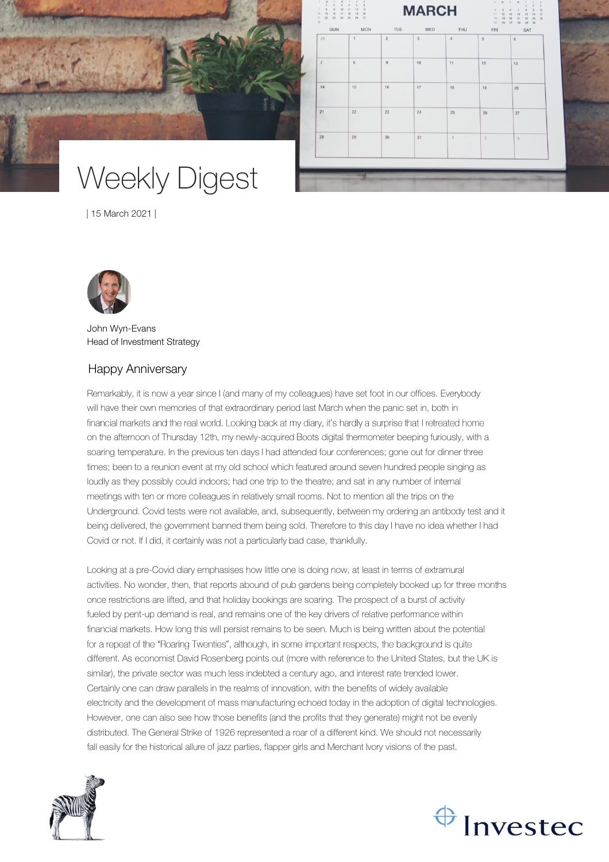

# Weekly Digest

| 15 March 2021 |

| SUN<br>28      | <b>MON</b><br>$\mathbf{1}$ | TUE<br>$\sqrt{2}$ | WED<br>$\overline{3}$ | THU<br>$\it 4$ | FRI<br>$\overline{5}$ | SAT<br>6       |
|----------------|----------------------------|-------------------|-----------------------|----------------|-----------------------|----------------|
|                |                            |                   |                       |                |                       |                |
| $\overline{7}$ | $\overline{8}$             | $\,9$             | 10                    | 11             | 12                    | 13             |
| 14             | 15                         | 16                | 17                    | 18             | 19                    | 20             |
| 21             | 22                         | 23                | 24                    | 25             | 26                    | 27             |
| 28             | 29                         | 30                | 31                    | 1              | $\sqrt{2}$            | $\overline{3}$ |
|                |                            |                   |                       |                |                       |                |



John Wyn-Evans Head of Investment Strategy

## Happy Anniversary

Remarkably, it is now a year since I (and many of my colleagues) have set foot in our offices. Everybody will have their own memories of that extraordinary period last March when the panic set in, both in financial markets and the real world. Looking back at my diary, it's hardly a surprise that I retreated home on the afternoon of Thursday 12th, my newly-acquired Boots digital thermometer beeping furiously, with a soaring temperature. In the previous ten days I had attended four conferences; gone out for dinner three times; been to a reunion event at my old school which featured around seven hundred people singing as loudly as they possibly could indoors; had one trip to the theatre; and sat in any number of internal meetings with ten or more colleagues in relatively small rooms. Not to mention all the trips on the Underground. Covid tests were not available, and, subsequently, between my ordering an antibody test and it being delivered, the government banned them being sold. Therefore to this day I have no idea whether I had Covid or not. If I did, it certainly was not a particularly bad case, thankfully.

Looking at a pre-Covid diary emphasises how little one is doing now, at least in terms of extramural activities. No wonder, then, that reports abound of pub gardens being completely booked up for three months once restrictions are lifted, and that holiday bookings are soaring. The prospect of a burst of activity fueled by pent-up demand is real, and remains one of the key drivers of relative performance within financial markets. How long this will persist remains to be seen. Much is being written about the potential for a repeat of the "Roaring Twenties", although, in some important respects, the background is quite different. As economist David Rosenberg points out (more with reference to the United States, but the UK is similar), the private sector was much less indebted a century ago, and interest rate trended lower. Certainly one can draw parallels in the realms of innovation, with the benefits of widely available electricity and the development of mass manufacturing echoed today in the adoption of digital technologies. However, one can also see how those benefits (and the profits that they generate) might not be evenly distributed. The General Strike of 1926 represented a roar of a different kind. We should not necessarily fall easily for the historical allure of jazz parties, flapper girls and Merchant Ivory visions of the past.



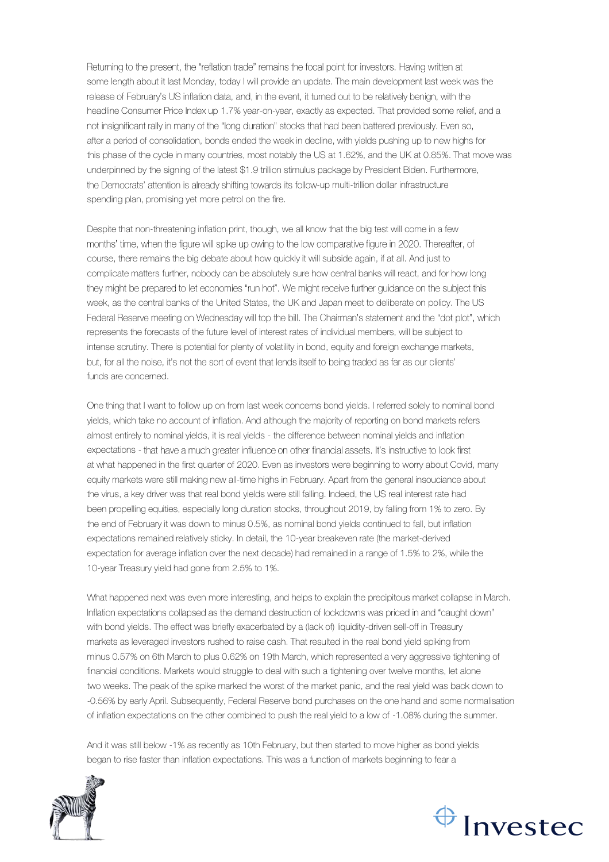Returning to the present, the "reflation trade" remains the focal point for investors. Having written at some length about it last Monday, today I will provide an update. The main development last week was the release of February's US inflation data, and, in the event, it turned out to be relatively benign, with the headline Consumer Price Index up 1.7% year-on-year, exactly as expected. That provided some relief, and a not insignificant rally in many of the "long duration" stocks that had been battered previously. Even so, after a period of consolidation, bonds ended the week in decline, with yields pushing up to new highs for this phase of the cycle in many countries, most notably the US at 1.62%, and the UK at 0.85%. That move was underpinned by the signing of the latest \$1.9 trillion stimulus package by President Biden. Furthermore, the Democrats' attention is already shifting towards its follow-up multi-trillion dollar infrastructure spending plan, promising yet more petrol on the fire.

Despite that non-threatening inflation print, though, we all know that the big test will come in a few months' time, when the figure will spike up owing to the low comparative figure in 2020. Thereafter, of course, there remains the big debate about how quickly it will subside again, if at all. And just to complicate matters further, nobody can be absolutely sure how central banks will react, and for how long they might be prepared to let economies "run hot". We might receive further guidance on the subject this week, as the central banks of the United States, the UK and Japan meet to deliberate on policy. The US Federal Reserve meeting on Wednesday will top the bill. The Chairman's statement and the "dot plot", which represents the forecasts of the future level of interest rates of individual members, will be subject to intense scrutiny. There is potential for plenty of volatility in bond, equity and foreign exchange markets, but, for all the noise, it's not the sort of event that lends itself to being traded as far as our clients' funds are concerned.

One thing that I want to follow up on from last week concerns bond yields. I referred solely to nominal bond yields, which take no account of inflation. And although the majority of reporting on bond markets refers almost entirely to nominal yields, it is real yields - the difference between nominal yields and inflation expectations - that have a much greater influence on other financial assets. It's instructive to look first at what happened in the first quarter of 2020. Even as investors were beginning to worry about Covid, many equity markets were still making new all-time highs in February. Apart from the general insouciance about the virus, a key driver was that real bond yields were still falling. Indeed, the US real interest rate had been propelling equities, especially long duration stocks, throughout 2019, by falling from 1% to zero. By the end of February it was down to minus 0.5%, as nominal bond yields continued to fall, but inflation expectations remained relatively sticky. In detail, the 10-year breakeven rate (the market-derived expectation for average inflation over the next decade) had remained in a range of 1.5% to 2%, while the 10-year Treasury yield had gone from 2.5% to 1%.

What happened next was even more interesting, and helps to explain the precipitous market collapse in March. Inflation expectations collapsed as the demand destruction of lockdowns was priced in and "caught down" with bond yields. The effect was briefly exacerbated by a (lack of) liquidity-driven sell-off in Treasury markets as leveraged investors rushed to raise cash. That resulted in the real bond yield spiking from minus 0.57% on 6th March to plus 0.62% on 19th March, which represented a very aggressive tightening of financial conditions. Markets would struggle to deal with such a tightening over twelve months, let alone two weeks. The peak of the spike marked the worst of the market panic, and the real yield was back down to -0.56% by early April. Subsequently, Federal Reserve bond purchases on the one hand and some normalisation of inflation expectations on the other combined to push the real yield to a low of -1.08% during the summer.

And it was still below -1% as recently as 10th February, but then started to move higher as bond yields began to rise faster than inflation expectations. This was a function of markets beginning to fear a



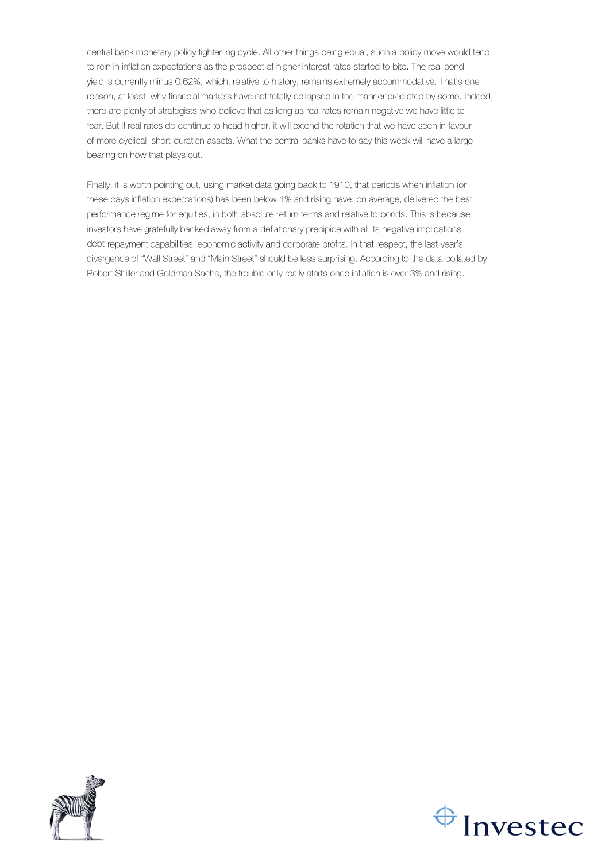central bank monetary policy tightening cycle. All other things being equal, such a policy move would tend to rein in inflation expectations as the prospect of higher interest rates started to bite. The real bond yield is currently minus 0.62%, which, relative to history, remains extremely accommodative. That's one reason, at least, why financial markets have not totally collapsed in the manner predicted by some. Indeed, there are plenty of strategists who believe that as long as real rates remain negative we have little to fear. But if real rates do continue to head higher, it will extend the rotation that we have seen in favour of more cyclical, short-duration assets. What the central banks have to say this week will have a large bearing on how that plays out.

Finally, it is worth pointing out, using market data going back to 1910, that periods when inflation (or these days inflation expectations) has been below 1% and rising have, on average, delivered the best performance regime for equities, in both absolute return terms and relative to bonds. This is because investors have gratefully backed away from a deflationary precipice with all its negative implications debt-repayment capabilities, economic activity and corporate profits. In that respect, the last year's divergence of "Wall Street" and "Main Street" should be less surprising. According to the data collated by Robert Shiller and Goldman Sachs, the trouble only really starts once inflation is over 3% and rising.